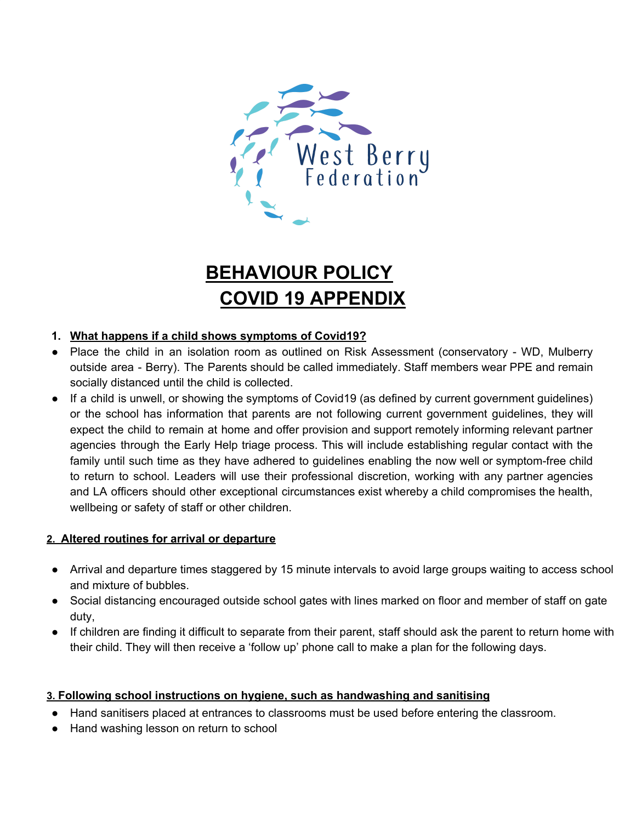

# **BEHAVIOUR POLICY COVID 19 APPENDIX**

## **1. What happens if a child shows symptoms of Covid19?**

- Place the child in an isolation room as outlined on Risk Assessment (conservatory WD, Mulberry outside area - Berry). The Parents should be called immediately. Staff members wear PPE and remain socially distanced until the child is collected.
- If a child is unwell, or showing the symptoms of Covid19 (as defined by current government guidelines) or the school has information that parents are not following current government guidelines, they will expect the child to remain at home and offer provision and support remotely informing relevant partner agencies through the Early Help triage process. This will include establishing regular contact with the family until such time as they have adhered to guidelines enabling the now well or symptom-free child to return to school. Leaders will use their professional discretion, working with any partner agencies and LA officers should other exceptional circumstances exist whereby a child compromises the health, wellbeing or safety of staff or other children.

#### **2. Altered routines for arrival or departure**

- Arrival and departure times staggered by 15 minute intervals to avoid large groups waiting to access school and mixture of bubbles.
- Social distancing encouraged outside school gates with lines marked on floor and member of staff on gate duty,
- If children are finding it difficult to separate from their parent, staff should ask the parent to return home with their child. They will then receive a 'follow up' phone call to make a plan for the following days.

#### **3. Following school instructions on hygiene, such as handwashing and sanitising**

- Hand sanitisers placed at entrances to classrooms must be used before entering the classroom.
- Hand washing lesson on return to school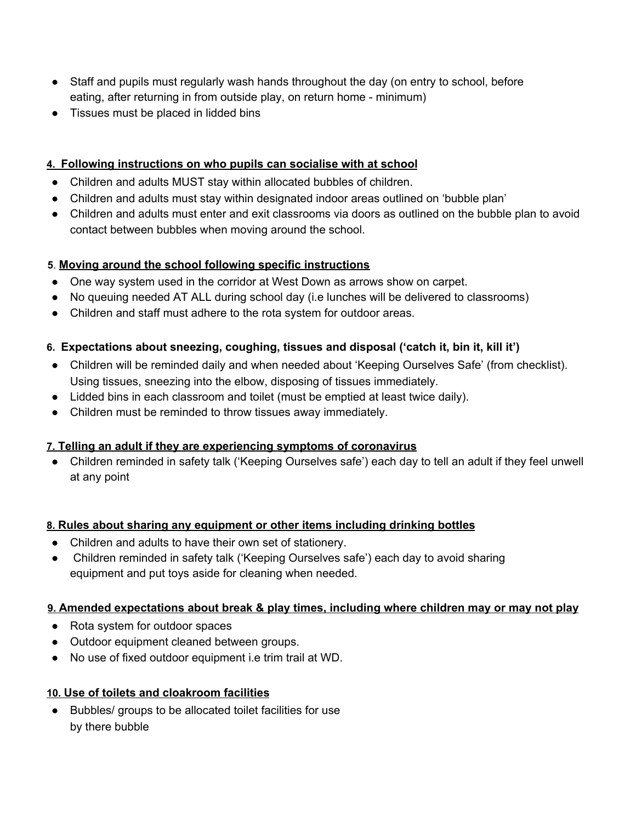- Staff and pupils must regularly wash hands throughout the day (on entry to school, before eating, after returning in from outside play, on return home - minimum)
- Tissues must be placed in lidded bins

#### **4. Following instructions on who pupils can socialise with at school**

- Children and adults MUST stay within allocated bubbles of children.
- Children and adults must stay within designated indoor areas outlined on 'bubble plan'
- Children and adults must enter and exit classrooms via doors as outlined on the bubble plan to avoid contact between bubbles when moving around the school.

## **5**. **Moving around the school following specific instructions**

- One way system used in the corridor at West Down as arrows show on carpet.
- No queuing needed AT ALL during school day (i.e lunches will be delivered to classrooms)
- Children and staff must adhere to the rota system for outdoor areas.

# **6. Expectations about sneezing, coughing, tissues and disposal ('catch it, bin it, kill it')**

- Children will be reminded daily and when needed about 'Keeping Ourselves Safe' (from checklist). Using tissues, sneezing into the elbow, disposing of tissues immediately.
- Lidded bins in each classroom and toilet (must be emptied at least twice daily).
- Children must be reminded to throw tissues away immediately.

#### **7. Telling an adult if they are experiencing symptoms of coronavirus**

● Children reminded in safety talk ('Keeping Ourselves safe') each day to tell an adult if they feel unwell at any point

#### **8. Rules about sharing any equipment or other items including drinking bottles**

- Children and adults to have their own set of stationery.
- Children reminded in safety talk ('Keeping Ourselves safe') each day to avoid sharing equipment and put toys aside for cleaning when needed.

#### **9. Amended expectations about break & play times, including where children may or may not play**

- Rota system for outdoor spaces
- Outdoor equipment cleaned between groups.
- No use of fixed outdoor equipment i.e trim trail at WD.

#### **10. Use of toilets and cloakroom facilities**

● Bubbles/ groups to be allocated toilet facilities for use by there bubble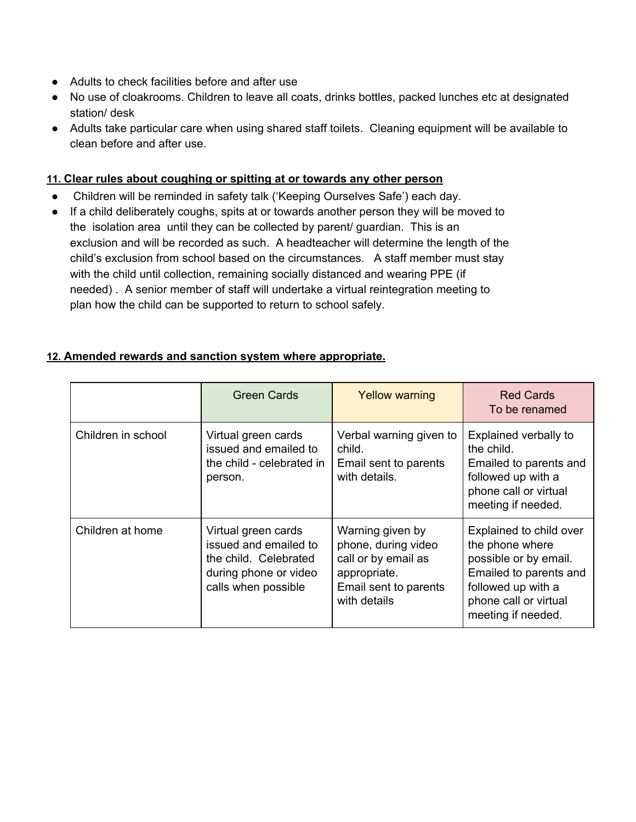- Adults to check facilities before and after use
- No use of cloakrooms. Children to leave all coats, drinks bottles, packed lunches etc at designated station/ desk
- Adults take particular care when using shared staff toilets. Cleaning equipment will be available to clean before and after use.

#### **11. Clear rules about coughing or spitting at or towards any other person**

- Children will be reminded in safety talk ('Keeping Ourselves Safe') each day.
- If a child deliberately coughs, spits at or towards another person they will be moved to the isolation area until they can be collected by parent/ guardian. This is an exclusion and will be recorded as such. A headteacher will determine the length of the child's exclusion from school based on the circumstances. A staff member must stay with the child until collection, remaining socially distanced and wearing PPE (if needed) . A senior member of staff will undertake a virtual reintegration meeting to plan how the child can be supported to return to school safely.

## **12. Amended rewards and sanction system where appropriate.**

|                    | <b>Green Cards</b>                                                                                                    | <b>Yellow warning</b>                                                                                                   | <b>Red Cards</b><br>To be renamed                                                                                                                                  |
|--------------------|-----------------------------------------------------------------------------------------------------------------------|-------------------------------------------------------------------------------------------------------------------------|--------------------------------------------------------------------------------------------------------------------------------------------------------------------|
| Children in school | Virtual green cards<br>issued and emailed to<br>the child - celebrated in<br>person.                                  | Verbal warning given to<br>child.<br>Email sent to parents<br>with details.                                             | Explained verbally to<br>the child.<br>Emailed to parents and<br>followed up with a<br>phone call or virtual<br>meeting if needed.                                 |
| Children at home   | Virtual green cards<br>issued and emailed to<br>the child. Celebrated<br>during phone or video<br>calls when possible | Warning given by<br>phone, during video<br>call or by email as<br>appropriate.<br>Email sent to parents<br>with details | Explained to child over<br>the phone where<br>possible or by email.<br>Emailed to parents and<br>followed up with a<br>phone call or virtual<br>meeting if needed. |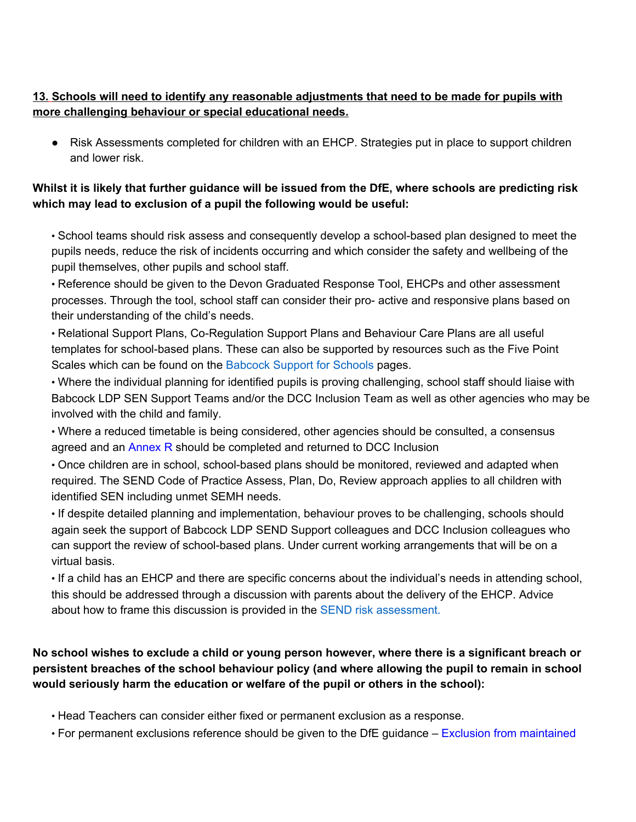## **13. Schools will need to identify any reasonable adjustments that need to be made for pupils with more challenging behaviour or special educational needs.**

● Risk Assessments completed for children with an EHCP. Strategies put in place to support children and lower risk.

## Whilst it is likely that further guidance will be issued from the DfE, where schools are predicting risk **which may lead to exclusion of a pupil the following would be useful:**

• School teams should risk assess and consequently develop a school-based plan designed to meet the pupils needs, reduce the risk of incidents occurring and which consider the safety and wellbeing of the pupil themselves, other pupils and school staff.

• Reference should be given to the Devon Graduated Response Tool, EHCPs and other assessment processes. Through the tool, school staff can consider their pro- active and responsive plans based on their understanding of the child's needs.

• Relational Support Plans, Co-Regulation Support Plans and Behaviour Care Plans are all useful templates for school-based plans. These can also be supported by resources such as the Five Point Scales which can be found on the Babcock Support for Schools pages.

• Where the individual planning for identified pupils is proving challenging, school staff should liaise with Babcock LDP SEN Support Teams and/or the DCC Inclusion Team as well as other agencies who may be involved with the child and family.

• Where a reduced timetable is being considered, other agencies should be consulted, a consensus agreed and an Annex R should be completed and returned to DCC Inclusion

• Once children are in school, school-based plans should be monitored, reviewed and adapted when required. The SEND Code of Practice Assess, Plan, Do, Review approach applies to all children with identified SEN including unmet SEMH needs.

• If despite detailed planning and implementation, behaviour proves to be challenging, schools should again seek the support of Babcock LDP SEND Support colleagues and DCC Inclusion colleagues who can support the review of school-based plans. Under current working arrangements that will be on a virtual basis.

• If a child has an EHCP and there are specific concerns about the individual's needs in attending school, this should be addressed through a discussion with parents about the delivery of the EHCP. Advice about how to frame this discussion is provided in the SEND risk assessment.

# No school wishes to exclude a child or young person however, where there is a significant breach or **persistent breaches of the school behaviour policy (and where allowing the pupil to remain in school would seriously harm the education or welfare of the pupil or others in the school):**

• Head Teachers can consider either fixed or permanent exclusion as a response.

• For permanent exclusions reference should be given to the DfE guidance – Exclusion from maintained